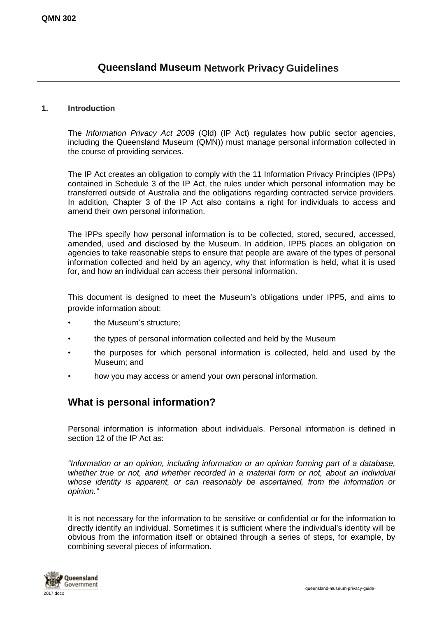# **Queensland Museum Network Privacy Guidelines**

#### **1. Introduction**

The *Information Privacy Act 2009* (Qld) (IP Act) regulates how public sector agencies, including the Queensland Museum (QMN)) must manage personal information collected in the course of providing services.

The IP Act creates an obligation to comply with the 11 Information Privacy Principles (IPPs) contained in Schedule 3 of the IP Act, the rules under which personal information may be transferred outside of Australia and the obligations regarding contracted service providers. In addition, Chapter 3 of the IP Act also contains a right for individuals to access and amend their own personal information.

The IPPs specify how personal information is to be collected, stored, secured, accessed, amended, used and disclosed by the Museum. In addition, IPP5 places an obligation on agencies to take reasonable steps to ensure that people are aware of the types of personal information collected and held by an agency, why that information is held, what it is used for, and how an individual can access their personal information.

This document is designed to meet the Museum's obligations under IPP5, and aims to provide information about:

- the Museum's structure;
- the types of personal information collected and held by the Museum
- the purposes for which personal information is collected, held and used by the Museum; and
- how you may access or amend your own personal information.

### **What is personal information?**

Personal information is information about individuals. Personal information is defined in section 12 of the IP Act as:

*"Information or an opinion, including information or an opinion forming part of a database, whether true or not, and whether recorded in a material form or not, about an individual whose identity is apparent, or can reasonably be ascertained, from the information or opinion."*

It is not necessary for the information to be sensitive or confidential or for the information to directly identify an individual. Sometimes it is sufficient where the individual's identity will be obvious from the information itself or obtained through a series of steps, for example, by combining several pieces of information.

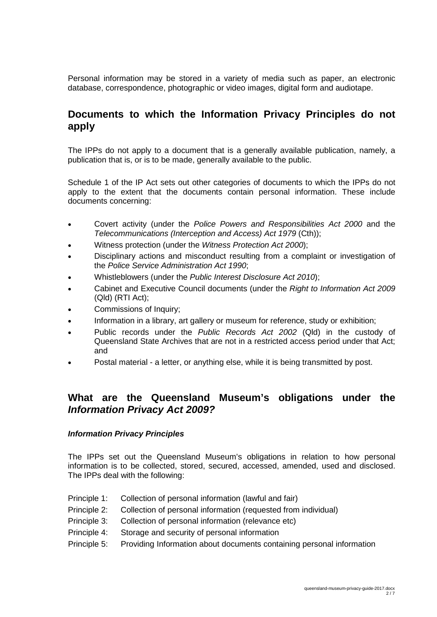Personal information may be stored in a variety of media such as paper, an electronic database, correspondence, photographic or video images, digital form and audiotape.

### **Documents to which the Information Privacy Principles do not apply**

The IPPs do not apply to a document that is a generally available publication, namely, a publication that is, or is to be made, generally available to the public.

Schedule 1 of the IP Act sets out other categories of documents to which the IPPs do not apply to the extent that the documents contain personal information. These include documents concerning:

- Covert activity (under the *Police Powers and Responsibilities Act 2000* and the *Telecommunications (Interception and Access) Act 1979* (Cth));
- Witness protection (under the *Witness Protection Act 2000*);
- Disciplinary actions and misconduct resulting from a complaint or investigation of the *Police Service Administration Act 1990*;
- Whistleblowers (under the *Public Interest Disclosure Act 2010*);
- Cabinet and Executive Council documents (under the *Right to Information Act 2009* (Qld) (RTI Act);
- Commissions of Inquiry;
- Information in a library, art gallery or museum for reference, study or exhibition;
- Public records under the *Public Records Act 2002* (Qld) in the custody of Queensland State Archives that are not in a restricted access period under that Act; and
- Postal material a letter, or anything else, while it is being transmitted by post.

### **What are the Queensland Museum's obligations under the** *Information Privacy Act 2009?*

#### *Information Privacy Principles*

The IPPs set out the Queensland Museum's obligations in relation to how personal information is to be collected, stored, secured, accessed, amended, used and disclosed. The IPPs deal with the following:

- Principle 1: Collection of personal information (lawful and fair)
- Principle 2: Collection of personal information (requested from individual)
- Principle 3: Collection of personal information (relevance etc)
- Principle 4: Storage and security of personal information
- Principle 5: Providing Information about documents containing personal information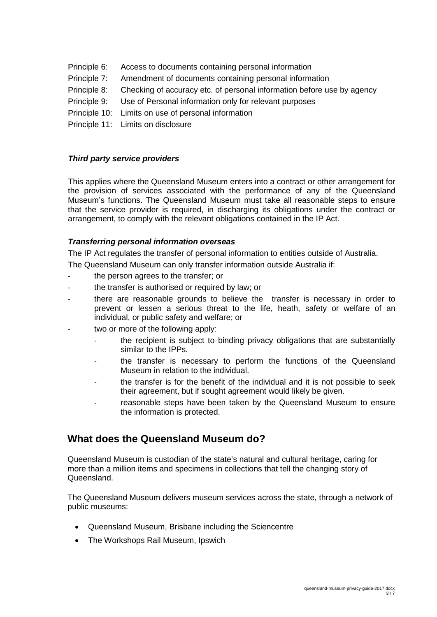- Principle 6: Access to documents containing personal information
- Principle 7: Amendment of documents containing personal information
- Principle 8: Checking of accuracy etc. of personal information before use by agency
- Principle 9: Use of Personal information only for relevant purposes
- Principle 10: Limits on use of personal information
- Principle 11: Limits on disclosure

#### *Third party service providers*

This applies where the Queensland Museum enters into a contract or other arrangement for the provision of services associated with the performance of any of the Queensland Museum's functions. The Queensland Museum must take all reasonable steps to ensure that the service provider is required, in discharging its obligations under the contract or arrangement, to comply with the relevant obligations contained in the IP Act.

#### *Transferring personal information overseas*

The IP Act regulates the transfer of personal information to entities outside of Australia.

The Queensland Museum can only transfer information outside Australia if:

- the person agrees to the transfer; or
- the transfer is authorised or required by law; or
- there are reasonable grounds to believe the transfer is necessary in order to prevent or lessen a serious threat to the life, heath, safety or welfare of an individual, or public safety and welfare; or
- two or more of the following apply:
	- the recipient is subject to binding privacy obligations that are substantially similar to the IPPs.
	- the transfer is necessary to perform the functions of the Queensland Museum in relation to the individual.
	- the transfer is for the benefit of the individual and it is not possible to seek their agreement, but if sought agreement would likely be given.
	- reasonable steps have been taken by the Queensland Museum to ensure the information is protected.

### **What does the Queensland Museum do?**

Queensland Museum is custodian of the state's natural and cultural heritage, caring for more than a million items and specimens in collections that tell the changing story of Queensland.

The Queensland Museum delivers museum services across the state, through a network of public museums:

- [Queensland](http://www.qm.qld.gov.au/) Museum, Brisbane including the [Sciencentre](http://www.sciencentre.qm.qld.gov.au/)
- The [Workshops](http://www.theworkshops.qm.qld.gov.au/) Rail Museum, Ipswich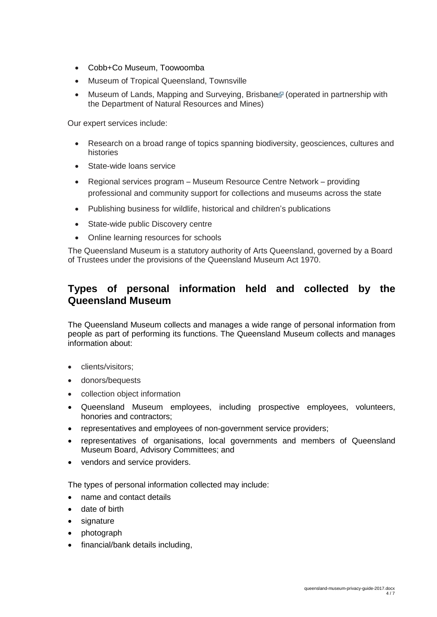- Cobb+Co Museum, [Toowoomba](http://www.cobbandco.qm.qld.gov.au/)
- Museum of Tropical [Queensland,](http://www.mtq.qm.qld.gov.au/) Townsville
- Museum of Lands, Mapping and [Surveying,](http://www.dnrm.qld.gov.au/mapping-data/maps/research-history/museum) Brisbane (operated in partnership with the Department of Natural Resources and Mines)

Our expert services include:

- Research on a broad range of topics spanning biodiversity, geosciences, cultures and histories
- State-wide loans service
- Regional services program Museum Resource Centre Network providing professional and community support for collections and museums across the state
- Publishing business for wildlife, historical and children's publications
- State-wide public [Discovery](http://www.qm.qld.gov.au/Events+and+Exhibitions/Exhibitions/Permanent/Discovery+Centre) centre
- Online learning resources for schools

The Queensland Museum is a statutory authority of Arts Queensland, governed by a Board of Trustees under the provisions of the [Queensland](http://www.legislation.qld.gov.au/LEGISLTN/CURRENT/Q/QldMuseumA70.pdf) Museum Act 1970.

# **Types of personal information held and collected by the Queensland Museum**

The Queensland Museum collects and manages a wide range of personal information from people as part of performing its functions. The Queensland Museum collects and manages information about:

- clients/visitors;
- donors/bequests
- collection object information
- Queensland Museum employees, including prospective employees, volunteers, honories and contractors;
- representatives and employees of non-government service providers;
- representatives of organisations, local governments and members of Queensland Museum Board, Advisory Committees; and
- vendors and service providers.

The types of personal information collected may include:

- name and contact details
- date of birth
- signature
- photograph
- financial/bank details including,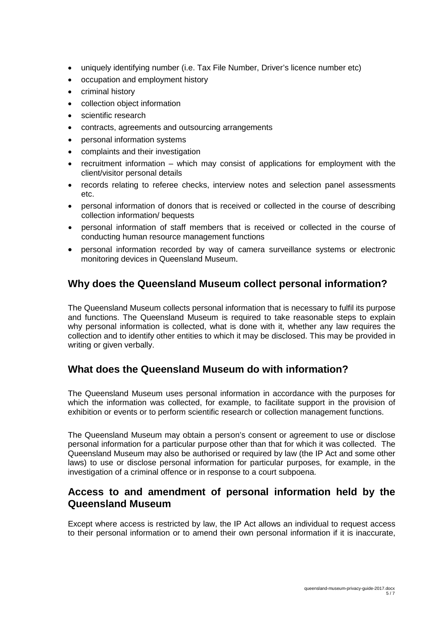- uniquely identifying number (i.e. Tax File Number, Driver's licence number etc)
- occupation and employment history
- criminal history
- collection object information
- scientific research
- contracts, agreements and outsourcing arrangements
- personal information systems
- complaints and their investigation
- recruitment information which may consist of applications for employment with the client/visitor personal details
- records relating to referee checks, interview notes and selection panel assessments etc.
- personal information of donors that is received or collected in the course of describing collection information/ bequests
- personal information of staff members that is received or collected in the course of conducting human resource management functions
- personal information recorded by way of camera surveillance systems or electronic monitoring devices in Queensland Museum.

## **Why does the Queensland Museum collect personal information?**

The Queensland Museum collects personal information that is necessary to fulfil its purpose and functions. The Queensland Museum is required to take reasonable steps to explain why personal information is collected, what is done with it, whether any law requires the collection and to identify other entities to which it may be disclosed. This may be provided in writing or given verbally.

### **What does the Queensland Museum do with information?**

The Queensland Museum uses personal information in accordance with the purposes for which the information was collected, for example, to facilitate support in the provision of exhibition or events or to perform scientific research or collection management functions.

The Queensland Museum may obtain a person's consent or agreement to use or disclose personal information for a particular purpose other than that for which it was collected. The Queensland Museum may also be authorised or required by law (the IP Act and some other laws) to use or disclose personal information for particular purposes, for example, in the investigation of a criminal offence or in response to a court subpoena.

### **Access to and amendment of personal information held by the Queensland Museum**

Except where access is restricted by law, the IP Act allows an individual to request access to their personal information or to amend their own personal information if it is inaccurate,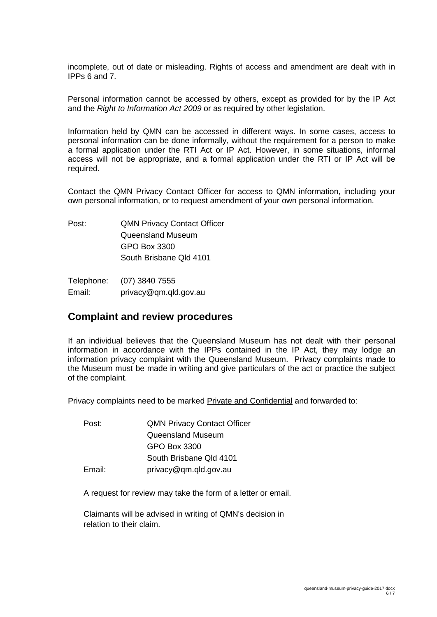incomplete, out of date or misleading. Rights of access and amendment are dealt with in IPPs 6 and 7.

Personal information cannot be accessed by others, except as provided for by the IP Act and the *Right to Information Act 2009* or as required by other legislation.

Information held by QMN can be accessed in different ways. In some cases, access to personal information can be done informally, without the requirement for a person to make a formal application under the RTI Act or IP Act. However, in some situations, informal access will not be appropriate, and a formal application under the RTI or IP Act will be required.

Contact the QMN Privacy Contact Officer for access to QMN information, including your own personal information, or to request amendment of your own personal information.

Post: QMN Privacy Contact Officer Queensland Museum GPO Box 3300 South Brisbane Qld 4101

Telephone: (07) 3840 7555 Email: privacy@qm.qld.gov.au

### **Complaint and review procedures**

If an individual believes that the Queensland Museum has not dealt with their personal information in accordance with the IPPs contained in the IP Act, they may lodge an information privacy complaint with the Queensland Museum. Privacy complaints made to the Museum must be made in writing and give particulars of the act or practice the subject of the complaint.

Privacy complaints need to be marked Private and Confidential and forwarded to:

| Post:  | <b>QMN Privacy Contact Officer</b> |
|--------|------------------------------------|
|        | Queensland Museum                  |
|        | GPO Box 3300                       |
|        | South Brisbane Qld 4101            |
| Email: | privacy@qm.qld.gov.au              |

A request for review may take the form of a letter or email.

Claimants will be advised in writing of QMN's decision in relation to their claim.